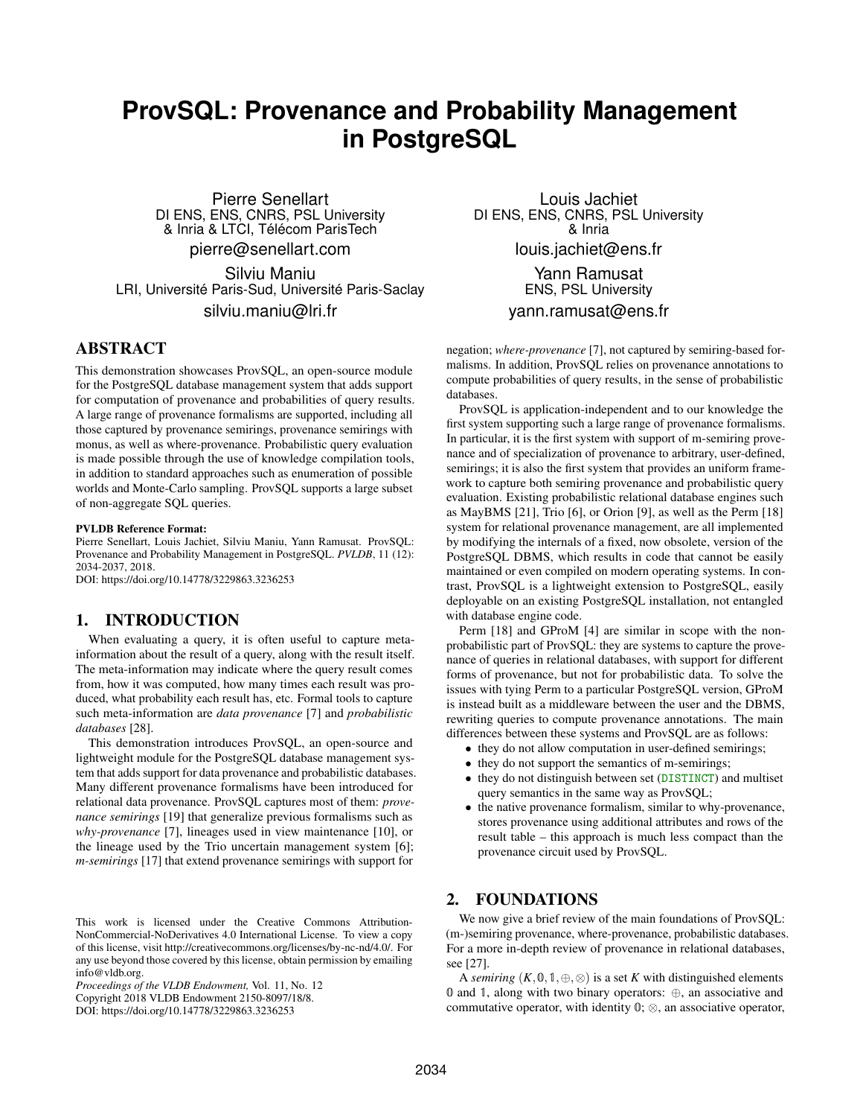# **ProvSQL: Provenance and Probability Management in PostgreSQL**

Pierre Senellart DI ENS, ENS, CNRS, PSL University & Inria & LTCI, Télécom ParisTech pierre@senellart.com

Silviu Maniu LRI, Université Paris-Sud, Université Paris-Saclay silviu.maniu@lri.fr

# ABSTRACT

This demonstration showcases ProvSQL, an open-source module for the PostgreSQL database management system that adds support for computation of provenance and probabilities of query results. A large range of provenance formalisms are supported, including all those captured by provenance semirings, provenance semirings with monus, as well as where-provenance. Probabilistic query evaluation is made possible through the use of knowledge compilation tools, in addition to standard approaches such as enumeration of possible worlds and Monte-Carlo sampling. ProvSQL supports a large subset of non-aggregate SQL queries.

#### PVLDB Reference Format:

Pierre Senellart, Louis Jachiet, Silviu Maniu, Yann Ramusat. ProvSQL: Provenance and Probability Management in PostgreSQL. *PVLDB*, 11 (12): 2034-2037, 2018.

DOI: https://doi.org/10.14778/3229863.3236253

#### 1. INTRODUCTION

When evaluating a query, it is often useful to capture metainformation about the result of a query, along with the result itself. The meta-information may indicate where the query result comes from, how it was computed, how many times each result was produced, what probability each result has, etc. Formal tools to capture such meta-information are *data provenance* [\[7\]](#page-3-0) and *probabilistic databases* [\[28\]](#page-3-1).

This demonstration introduces ProvSQL, an open-source and lightweight module for the PostgreSQL database management system that adds support for data provenance and probabilistic databases. Many different provenance formalisms have been introduced for relational data provenance. ProvSQL captures most of them: *provenance semirings* [\[19\]](#page-3-2) that generalize previous formalisms such as *why-provenance* [\[7\]](#page-3-0), lineages used in view maintenance [\[10\]](#page-3-3), or the lineage used by the Trio uncertain management system [\[6\]](#page-3-4); *m-semirings* [\[17\]](#page-3-5) that extend provenance semirings with support for

*Proceedings of the VLDB Endowment,* Vol. 11, No. 12 Copyright 2018 VLDB Endowment 2150-8097/18/8.

DOI: https://doi.org/10.14778/3229863.3236253

Louis Jachiet DI ENS, ENS, CNRS, PSL University & Inria louis.jachiet@ens.fr

> Yann Ramusat ENS, PSL University

#### yann.ramusat@ens.fr

negation; *where-provenance* [\[7\]](#page-3-0), not captured by semiring-based formalisms. In addition, ProvSQL relies on provenance annotations to compute probabilities of query results, in the sense of probabilistic databases.

ProvSQL is application-independent and to our knowledge the first system supporting such a large range of provenance formalisms. In particular, it is the first system with support of m-semiring provenance and of specialization of provenance to arbitrary, user-defined, semirings; it is also the first system that provides an uniform framework to capture both semiring provenance and probabilistic query evaluation. Existing probabilistic relational database engines such as MayBMS [\[21\]](#page-3-6), Trio [\[6\]](#page-3-4), or Orion [\[9\]](#page-3-7), as well as the Perm [\[18\]](#page-3-8) system for relational provenance management, are all implemented by modifying the internals of a fixed, now obsolete, version of the PostgreSQL DBMS, which results in code that cannot be easily maintained or even compiled on modern operating systems. In contrast, ProvSQL is a lightweight extension to PostgreSQL, easily deployable on an existing PostgreSQL installation, not entangled with database engine code.

Perm [\[18\]](#page-3-8) and GProM [\[4\]](#page-3-9) are similar in scope with the nonprobabilistic part of ProvSQL: they are systems to capture the provenance of queries in relational databases, with support for different forms of provenance, but not for probabilistic data. To solve the issues with tying Perm to a particular PostgreSQL version, GProM is instead built as a middleware between the user and the DBMS, rewriting queries to compute provenance annotations. The main differences between these systems and ProvSQL are as follows:

- they do not allow computation in user-defined semirings;
- they do not support the semantics of m-semirings;
- they do not distinguish between set (DISTINCT) and multiset query semantics in the same way as ProvSQL;
- the native provenance formalism, similar to why-provenance, stores provenance using additional attributes and rows of the result table – this approach is much less compact than the provenance circuit used by ProvSQL.

### 2. FOUNDATIONS

We now give a brief review of the main foundations of ProvSQL: (m-)semiring provenance, where-provenance, probabilistic databases. For a more in-depth review of provenance in relational databases, see [\[27\]](#page-3-10).

A *semiring*  $(K, 0, 1, \oplus, \otimes)$  is a set *K* with distinguished elements 0 and 1, along with two binary operators: ⊕, an associative and commutative operator, with identity  $\mathbb{0}$ ;  $\otimes$ , an associative operator,

This work is licensed under the Creative Commons Attribution-NonCommercial-NoDerivatives 4.0 International License. To view a copy of this license, visit http://creativecommons.org/licenses/by-nc-nd/4.0/. For any use beyond those covered by this license, obtain permission by emailing info@vldb.org.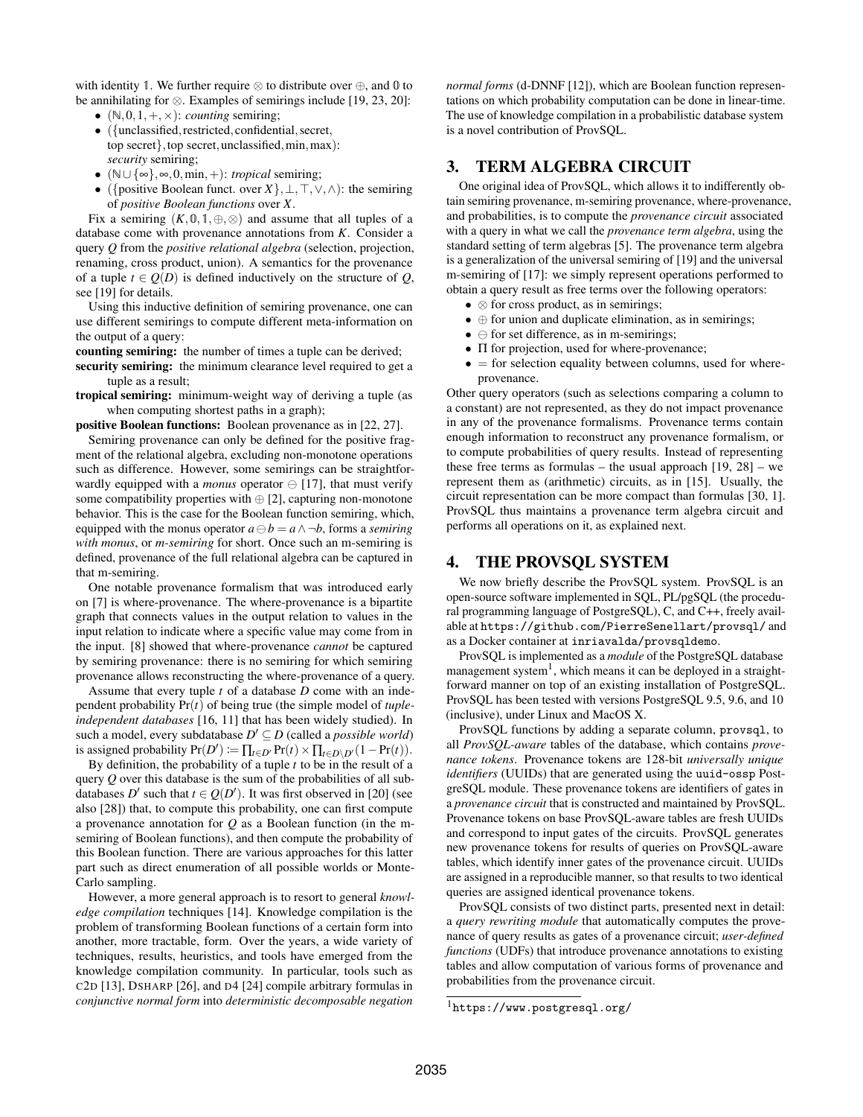with identity 1. We further require  $\otimes$  to distribute over  $\oplus$ , and 0 to be annihilating for ⊗. Examples of semirings include [\[19,](#page-3-2) [23,](#page-3-11) [20\]](#page-3-12):

- $(N, 0, 1, +, \times)$ : *counting* semiring;
- ({unclassified, restricted, confidential, secret, top secret}, top secret, unclassified, min, max): *security* semiring;
- (N∪ {∞},∞,0,min,+): *tropical* semiring;
- ( $\{\text{positive Boolean functor, over } X\}, \bot, \top, \vee, \wedge$ ): the semiring of *positive Boolean functions* over *X*.

Fix a semiring  $(K,0,1,\oplus,\infty)$  and assume that all tuples of a database come with provenance annotations from *K*. Consider a query *Q* from the *positive relational algebra* (selection, projection, renaming, cross product, union). A semantics for the provenance of a tuple  $t \in Q(D)$  is defined inductively on the structure of  $Q$ , see [\[19\]](#page-3-2) for details.

Using this inductive definition of semiring provenance, one can use different semirings to compute different meta-information on the output of a query:

counting semiring: the number of times a tuple can be derived;

security semiring: the minimum clearance level required to get a tuple as a result;

tropical semiring: minimum-weight way of deriving a tuple (as when computing shortest paths in a graph);

positive Boolean functions: Boolean provenance as in [\[22,](#page-3-13) [27\]](#page-3-10).

Semiring provenance can only be defined for the positive fragment of the relational algebra, excluding non-monotone operations such as difference. However, some semirings can be straightforwardly equipped with a *monus* operator  $\ominus$  [\[17\]](#page-3-5), that must verify some compatibility properties with  $\oplus$  [\[2\]](#page-3-14), capturing non-monotone behavior. This is the case for the Boolean function semiring, which, equipped with the monus operator  $a \ominus b = a \land \neg b$ , forms a *semiring with monus*, or *m-semiring* for short. Once such an m-semiring is defined, provenance of the full relational algebra can be captured in that m-semiring.

One notable provenance formalism that was introduced early on [\[7\]](#page-3-0) is where-provenance. The where-provenance is a bipartite graph that connects values in the output relation to values in the input relation to indicate where a specific value may come from in the input. [\[8\]](#page-3-15) showed that where-provenance *cannot* be captured by semiring provenance: there is no semiring for which semiring provenance allows reconstructing the where-provenance of a query.

Assume that every tuple *t* of a database *D* come with an independent probability Pr(*t*) of being true (the simple model of *tupleindependent databases* [\[16,](#page-3-16) [11\]](#page-3-17) that has been widely studied). In such a model, every subdatabase  $D' \subseteq D$  (called a *possible world*) is assigned probability  $Pr(D') := \prod_{t \in D'} Pr(t) \times \prod_{t \in D \setminus D'} (1 - Pr(t)).$ 

By definition, the probability of a tuple *t* to be in the result of a query *Q* over this database is the sum of the probabilities of all subdatabases  $D'$  such that  $t \in Q(D')$ . It was first observed in [\[20\]](#page-3-12) (see also [\[28\]](#page-3-1)) that, to compute this probability, one can first compute a provenance annotation for *Q* as a Boolean function (in the msemiring of Boolean functions), and then compute the probability of this Boolean function. There are various approaches for this latter part such as direct enumeration of all possible worlds or Monte-Carlo sampling.

However, a more general approach is to resort to general *knowledge compilation* techniques [\[14\]](#page-3-18). Knowledge compilation is the problem of transforming Boolean functions of a certain form into another, more tractable, form. Over the years, a wide variety of techniques, results, heuristics, and tools have emerged from the knowledge compilation community. In particular, tools such as C2D [\[13\]](#page-3-19), DSHARP [\[26\]](#page-3-20), and D4 [\[24\]](#page-3-21) compile arbitrary formulas in *conjunctive normal form* into *deterministic decomposable negation*

*normal forms* (d-DNNF [\[12\]](#page-3-22)), which are Boolean function representations on which probability computation can be done in linear-time. The use of knowledge compilation in a probabilistic database system is a novel contribution of ProvSQL.

#### 3. TERM ALGEBRA CIRCUIT

One original idea of ProvSQL, which allows it to indifferently obtain semiring provenance, m-semiring provenance, where-provenance, and probabilities, is to compute the *provenance circuit* associated with a query in what we call the *provenance term algebra*, using the standard setting of term algebras [\[5\]](#page-3-23). The provenance term algebra is a generalization of the universal semiring of [\[19\]](#page-3-2) and the universal m-semiring of [\[17\]](#page-3-5): we simply represent operations performed to obtain a query result as free terms over the following operators:

- ⊗ for cross product, as in semirings;
- ⊕ for union and duplicate elimination, as in semirings;
- $\bullet \ominus$  for set difference, as in m-semirings;
- Π for projection, used for where-provenance;
- $\bullet$  = for selection equality between columns, used for whereprovenance.

Other query operators (such as selections comparing a column to a constant) are not represented, as they do not impact provenance in any of the provenance formalisms. Provenance terms contain enough information to reconstruct any provenance formalism, or to compute probabilities of query results. Instead of representing these free terms as formulas – the usual approach  $[19, 28]$  $[19, 28]$  – we represent them as (arithmetic) circuits, as in [\[15\]](#page-3-24). Usually, the circuit representation can be more compact than formulas [\[30,](#page-3-25) [1\]](#page-3-26). ProvSQL thus maintains a provenance term algebra circuit and performs all operations on it, as explained next.

#### 4. THE PROVSQL SYSTEM

We now briefly describe the ProvSQL system. ProvSQL is an open-source software implemented in SQL, PL/pgSQL (the procedural programming language of PostgreSQL), C, and C++, freely available at <https://github.com/PierreSenellart/provsql/> and as a Docker container at inriavalda/provsqldemo.

ProvSQL is implemented as a *module* of the PostgreSQL database management system<sup>[1](#page-1-0)</sup>, which means it can be deployed in a straightforward manner on top of an existing installation of PostgreSQL. ProvSQL has been tested with versions PostgreSQL 9.5, 9.6, and 10 (inclusive), under Linux and MacOS X.

ProvSQL functions by adding a separate column, provsql, to all *ProvSQL-aware* tables of the database, which contains *provenance tokens*. Provenance tokens are 128-bit *universally unique identifiers* (UUIDs) that are generated using the uuid-ossp PostgreSQL module. These provenance tokens are identifiers of gates in a *provenance circuit* that is constructed and maintained by ProvSQL. Provenance tokens on base ProvSQL-aware tables are fresh UUIDs and correspond to input gates of the circuits. ProvSQL generates new provenance tokens for results of queries on ProvSQL-aware tables, which identify inner gates of the provenance circuit. UUIDs are assigned in a reproducible manner, so that results to two identical queries are assigned identical provenance tokens.

ProvSQL consists of two distinct parts, presented next in detail: a *query rewriting module* that automatically computes the provenance of query results as gates of a provenance circuit; *user-defined functions* (UDFs) that introduce provenance annotations to existing tables and allow computation of various forms of provenance and probabilities from the provenance circuit.

<span id="page-1-0"></span><sup>1</sup><https://www.postgresql.org/>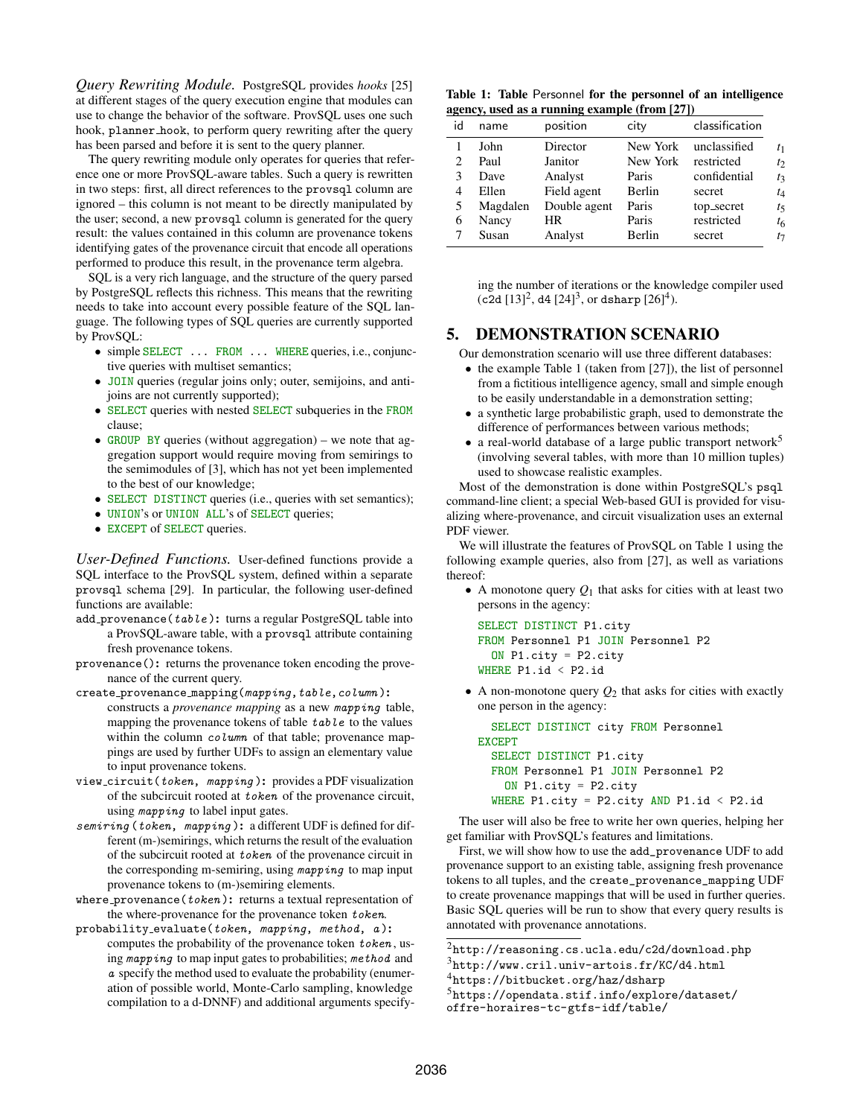*Query Rewriting Module.* PostgreSQL provides *hooks* [\[25\]](#page-3-27) at different stages of the query execution engine that modules can use to change the behavior of the software. ProvSQL uses one such hook, planner hook, to perform query rewriting after the query has been parsed and before it is sent to the query planner.

The query rewriting module only operates for queries that reference one or more ProvSQL-aware tables. Such a query is rewritten in two steps: first, all direct references to the provsql column are ignored – this column is not meant to be directly manipulated by the user; second, a new provsql column is generated for the query result: the values contained in this column are provenance tokens identifying gates of the provenance circuit that encode all operations performed to produce this result, in the provenance term algebra.

SQL is a very rich language, and the structure of the query parsed by PostgreSQL reflects this richness. This means that the rewriting needs to take into account every possible feature of the SQL language. The following types of SQL queries are currently supported by ProvSQL:

- simple SELECT . . . FROM . . . WHERE queries, i.e., conjunctive queries with multiset semantics;
- JOIN queries (regular joins only; outer, semijoins, and antijoins are not currently supported);
- SELECT queries with nested SELECT subqueries in the FROM clause;
- GROUP BY queries (without aggregation) we note that aggregation support would require moving from semirings to the semimodules of [\[3\]](#page-3-28), which has not yet been implemented to the best of our knowledge;
- SELECT DISTINCT queries (i.e., queries with set semantics);
- UNION's or UNION ALL's of SELECT queries;
- EXCEPT of SELECT queries.

*User-Defined Functions.* User-defined functions provide a SQL interface to the ProvSQL system, defined within a separate provsql schema [\[29\]](#page-3-29). In particular, the following user-defined functions are available:

- add\_provenance(table): turns a regular PostgreSQL table into a ProvSQL-aware table, with a provsql attribute containing fresh provenance tokens.
- provenance(): returns the provenance token encoding the provenance of the current query.
- create\_provenance\_mapping(mapping,table,column): constructs a *provenance mapping* as a new mapping table, mapping the provenance tokens of table table to the values within the column *column* of that table; provenance mappings are used by further UDFs to assign an elementary value to input provenance tokens.
- view circuit(token, mapping ): provides a PDF visualization of the subcircuit rooted at token of the provenance circuit, using *mapping* to label input gates.
- semiring (token, mapping): a different UDF is defined for different (m-)semirings, which returns the result of the evaluation of the subcircuit rooted at token of the provenance circuit in the corresponding m-semiring, using mapping to map input provenance tokens to (m-)semiring elements.

where\_provenance( $token$ ): returns a textual representation of the where-provenance for the provenance token token.

probability\_evaluate(token, mapping, method, a): computes the probability of the provenance token token , using mapping to map input gates to probabilities; method and a specify the method used to evaluate the probability (enumeration of possible world, Monte-Carlo sampling, knowledge compilation to a d-DNNF) and additional arguments specify-

<span id="page-2-3"></span>Table 1: Table Personnel for the personnel of an intelligence agency, used as a running example (from [\[27\]](#page-3-10))

| id | name     | position     | city     | classification |                  |
|----|----------|--------------|----------|----------------|------------------|
|    | John     | Director     | New York | unclassified   | t <sub>1</sub>   |
| 2  | Paul     | Janitor      | New York | restricted     | $t_2$            |
| 3  | Dave     | Analyst      | Paris    | confidential   | $t_3$            |
| 4  | Ellen    | Field agent  | Berlin   | secret         | $t_4$            |
| 5  | Magdalen | Double agent | Paris    | top_secret     | $t_{\mathsf{S}}$ |
| 6  | Nancy    | HR           | Paris    | restricted     | $t_{6}$          |
|    | Susan    | Analyst      | Berlin   | secret         | $t_{7}$          |

ing the number of iterations or the knowledge compiler used  $(c2d [13]^2, d4 [24]^3, or dsharp [26]^4).$  $(c2d [13]^2, d4 [24]^3, or dsharp [26]^4).$  $(c2d [13]^2, d4 [24]^3, or dsharp [26]^4).$  $(c2d [13]^2, d4 [24]^3, or dsharp [26]^4).$  $(c2d [13]^2, d4 [24]^3, or dsharp [26]^4).$  $(c2d [13]^2, d4 [24]^3, or dsharp [26]^4).$  $(c2d [13]^2, d4 [24]^3, or dsharp [26]^4).$  $(c2d [13]^2, d4 [24]^3, or dsharp [26]^4).$  $(c2d [13]^2, d4 [24]^3, or dsharp [26]^4).$  $(c2d [13]^2, d4 [24]^3, or dsharp [26]^4).$  $(c2d [13]^2, d4 [24]^3, or dsharp [26]^4).$  $(c2d [13]^2, d4 [24]^3, or dsharp [26]^4).$  $(c2d [13]^2, d4 [24]^3, or dsharp [26]^4).$ 

## 5. DEMONSTRATION SCENARIO

Our demonstration scenario will use three different databases:

- the example Table [1](#page-2-3) (taken from [\[27\]](#page-3-10)), the list of personnel from a fictitious intelligence agency, small and simple enough to be easily understandable in a demonstration setting;
- a synthetic large probabilistic graph, used to demonstrate the difference of performances between various methods;
- a real-world database of a large public transport network<sup>[5](#page-2-4)</sup> (involving several tables, with more than 10 million tuples) used to showcase realistic examples.

Most of the demonstration is done within PostgreSQL's psql command-line client; a special Web-based GUI is provided for visualizing where-provenance, and circuit visualization uses an external PDF viewer.

We will illustrate the features of ProvSQL on Table [1](#page-2-3) using the following example queries, also from [\[27\]](#page-3-10), as well as variations thereof:

• A monotone query  $Q_1$  that asks for cities with at least two persons in the agency:

```
SELECT DISTINCT P1.city
FROM Personnel P1 JOIN Personnel P2
  ON P1.city = P2.city
WHERE P1.id < P2.id
```
• A non-monotone query  $Q_2$  that asks for cities with exactly one person in the agency:

```
SELECT DISTINCT city FROM Personnel
EXCEPT
  SELECT DISTINCT P1.city
  FROM Personnel P1 JOIN Personnel P2
    ON P1.city = P2.city
  WHERE P1.city = P2.city AND P1.id < P2.id
```
The user will also be free to write her own queries, helping her get familiar with ProvSQL's features and limitations.

First, we will show how to use the add\_provenance UDF to add provenance support to an existing table, assigning fresh provenance tokens to all tuples, and the create\_provenance\_mapping UDF to create provenance mappings that will be used in further queries. Basic SQL queries will be run to show that every query results is annotated with provenance annotations.

<span id="page-2-0"></span> $^2$ <http://reasoning.cs.ucla.edu/c2d/download.php>

<span id="page-2-1"></span><sup>3</sup><http://www.cril.univ-artois.fr/KC/d4.html>

<span id="page-2-2"></span><sup>4</sup><https://bitbucket.org/haz/dsharp>

<span id="page-2-4"></span><sup>5</sup>[https://opendata.stif.info/explore/dataset/](https://opendata.stif.info/explore/dataset/offre-horaires-tc-gtfs-idf/table/)

[offre-horaires-tc-gtfs-idf/table/](https://opendata.stif.info/explore/dataset/offre-horaires-tc-gtfs-idf/table/)